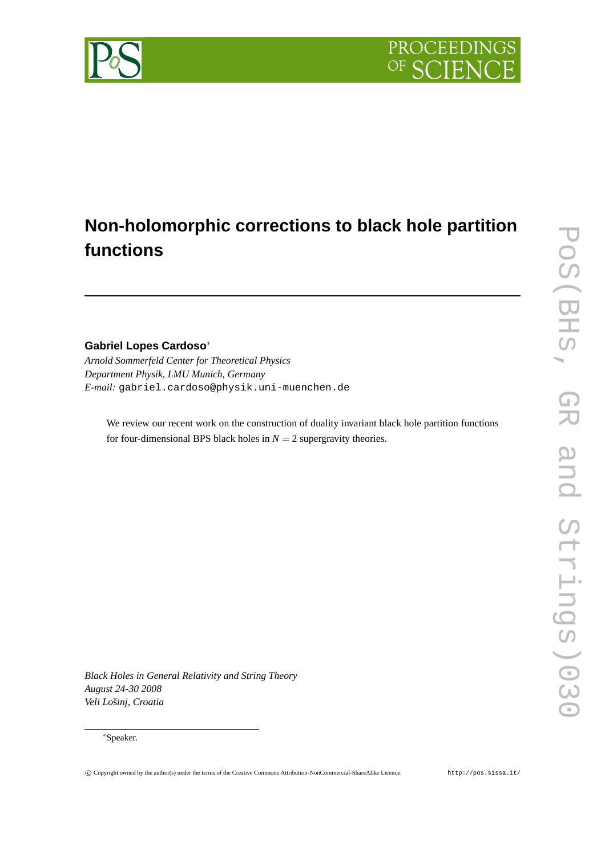## PROCEEDING OF SC

# **Non-holomorphic corrections to black hole partition functions**

### **Gabriel Lopes Cardoso**<sup>∗</sup>

*Arnold Sommerfeld Center for Theoretical Physics Department Physik, LMU Munich, Germany E-mail:* gabriel.cardoso@physik.uni-muenchen.de

We review our recent work on the construction of duality invariant black hole partition functions for four-dimensional BPS black holes in  $N = 2$  supergravity theories.

*Black Holes in General Relativity and String Theory August 24-30 2008*  $V$ eli Lošinj, Croatia

#### <sup>∗</sup>Speaker.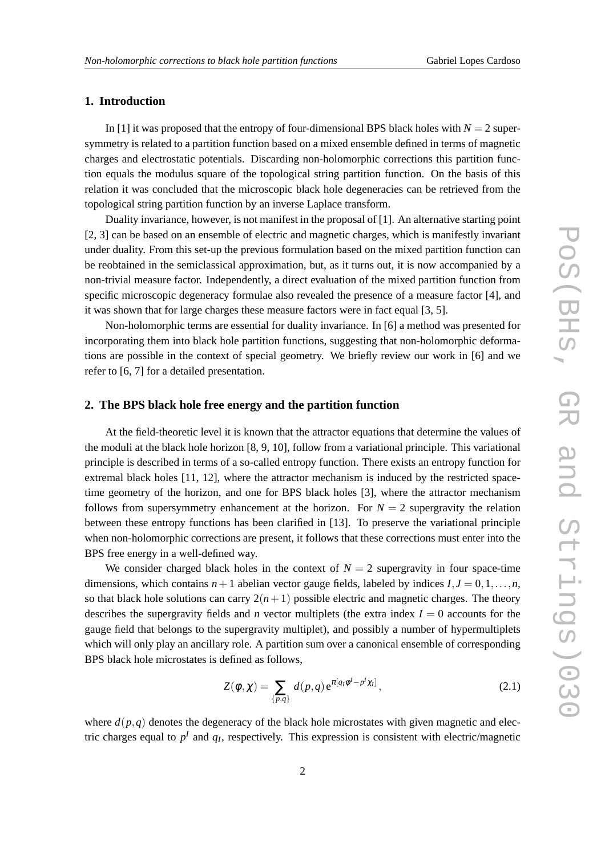### **1. Introduction**

In [1] it was proposed that the entropy of four-dimensional BPS black holes with  $N = 2$  supersymmetry is related to a partition function based on a mixed ensemble defined in terms of magnetic charges and electrostatic potentials. Discarding non-holomorphic corrections this partition function equals the modulus square of the topological string partition function. On the basis of this relation it was concluded that the microscopic black hole degeneracies can be retrieved from the topological string partition function by an inverse Laplace transform.

Duality invariance, however, is not manifest in the proposal of [1]. An alternative starting point [2, 3] can be based on an ensemble of electric and magnetic charges, which is manifestly invariant under duality. From this set-up the previous formulation based on the mixed partition function can be reobtained in the semiclassical approximation, but, as it turns out, it is now accompanied by a non-trivial measure factor. Independently, a direct evaluation of the mixed partition function from specific microscopic degeneracy formulae also revealed the presence of a measure factor [4], and it was shown that for large charges these measure factors were in fact equal [3, 5].

Non-holomorphic terms are essential for duality invariance. In [6] a method was presented for incorporating them into black hole partition functions, suggesting that non-holomorphic deformations are possible in the context of special geometry. We briefly review our work in [6] and we refer to [6, 7] for a detailed presentation.

#### **2. The BPS black hole free energy and the partition function**

At the field-theoretic level it is known that the attractor equations that determine the values of the moduli at the black hole horizon [8, 9, 10], follow from a variational principle. This variational principle is described in terms of a so-called entropy function. There exists an entropy function for extremal black holes [11, 12], where the attractor mechanism is induced by the restricted spacetime geometry of the horizon, and one for BPS black holes [3], where the attractor mechanism follows from supersymmetry enhancement at the horizon. For  $N = 2$  supergravity the relation between these entropy functions has been clarified in [13]. To preserve the variational principle when non-holomorphic corrections are present, it follows that these corrections must enter into the BPS free energy in a well-defined way.

We consider charged black holes in the context of  $N = 2$  supergravity in four space-time dimensions, which contains  $n+1$  abelian vector gauge fields, labeled by indices  $I, J = 0,1,...,n$ , so that black hole solutions can carry  $2(n+1)$  possible electric and magnetic charges. The theory describes the supergravity fields and *n* vector multiplets (the extra index  $I = 0$  accounts for the gauge field that belongs to the supergravity multiplet), and possibly a number of hypermultiplets which will only play an ancillary role. A partition sum over a canonical ensemble of corresponding BPS black hole microstates is defined as follows,

$$
Z(\phi, \chi) = \sum_{\{p,q\}} d(p,q) e^{\pi[qq\phi^l - p^l\chi_l]}, \qquad (2.1)
$$

where  $d(p,q)$  denotes the degeneracy of the black hole microstates with given magnetic and electric charges equal to  $p<sup>I</sup>$  and  $q<sub>I</sub>$ , respectively. This expression is consistent with electric/magnetic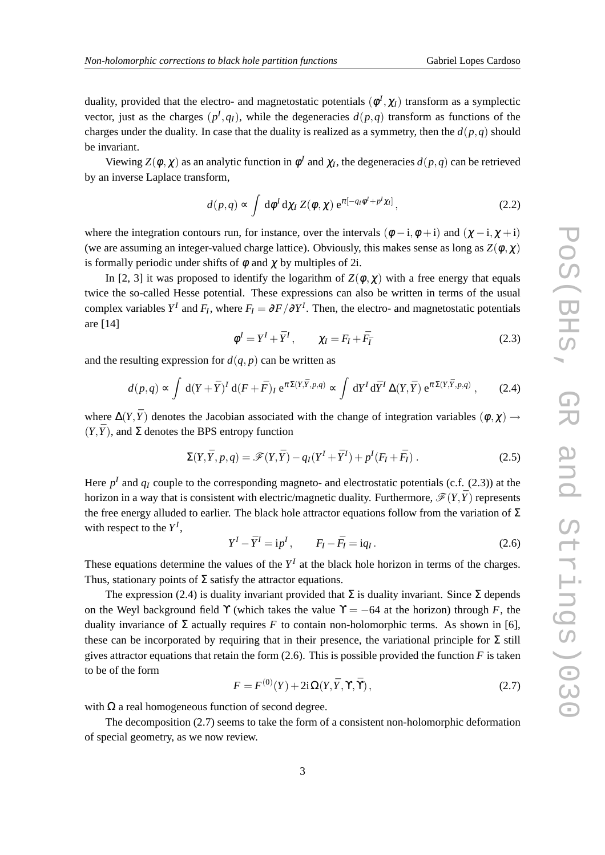duality, provided that the electro- and magnetostatic potentials  $(\phi^I, \chi_I)$  transform as a symplectic vector, just as the charges  $(p<sup>I</sup>, q<sub>I</sub>)$ , while the degeneracies  $d(p,q)$  transform as functions of the charges under the duality. In case that the duality is realized as a symmetry, then the  $d(p,q)$  should be invariant.

Viewing  $Z(\phi, \chi)$  as an analytic function in  $\phi^I$  and  $\chi_I$ , the degeneracies  $d(p, q)$  can be retrieved by an inverse Laplace transform,

$$
d(p,q) \propto \int d\phi^I d\chi_I Z(\phi, \chi) e^{\pi[-q_I \phi^I + p^I \chi_I]}, \qquad (2.2)
$$

where the integration contours run, for instance, over the intervals  $(\phi - i, \phi + i)$  and  $(\chi - i, \chi + i)$ (we are assuming an integer-valued charge lattice). Obviously, this makes sense as long as  $Z(\phi, \chi)$ is formally periodic under shifts of  $\phi$  and  $\gamma$  by multiples of 2i.

In [2, 3] it was proposed to identify the logarithm of  $Z(\phi, \chi)$  with a free energy that equals twice the so-called Hesse potential. These expressions can also be written in terms of the usual complex variables  $Y^I$  and  $F_I$ , where  $F_I = \partial F / \partial Y^I$ . Then, the electro- and magnetostatic potentials are [14]

$$
\phi^I = Y^I + \bar{Y}^I, \qquad \chi_I = F_I + \bar{F}_{\bar{I}} \tag{2.3}
$$

and the resulting expression for  $d(q, p)$  can be written as

$$
d(p,q) \propto \int \, \mathrm{d}(Y+\bar{Y})^I \, \mathrm{d}(F+\bar{F})_I \, \mathrm{e}^{\pi \Sigma (Y,\bar{Y},p,q)} \propto \int \, \mathrm{d}Y^I \, \mathrm{d}\bar{Y}^I \, \Delta(Y,\bar{Y}) \, \mathrm{e}^{\pi \Sigma (Y,\bar{Y},p,q)},\tag{2.4}
$$

where  $\Delta(Y, \bar{Y})$  denotes the Jacobian associated with the change of integration variables ( $\phi, \chi$ ) →  $(Y, \overline{Y})$ , and  $\Sigma$  denotes the BPS entropy function

$$
\Sigma(Y,\bar{Y},p,q) = \mathscr{F}(Y,\bar{Y}) - q_I(Y^I + \bar{Y}^I) + p^I(F_I + \bar{F}_I).
$$
\n(2.5)

Here  $p<sup>I</sup>$  and  $q<sub>I</sub>$  couple to the corresponding magneto- and electrostatic potentials (c.f. (2.3)) at the horizon in a way that is consistent with electric/magnetic duality. Furthermore,  $\mathscr{F}(Y,\bar{Y})$  represents the free energy alluded to earlier. The black hole attractor equations follow from the variation of  $\Sigma$ with respect to the  $Y^I$ ,

$$
Y^I - \overline{Y}^I = \mathrm{i} p^I, \qquad F_I - \overline{F}_I = \mathrm{i} q_I. \tag{2.6}
$$

These equations determine the values of the  $Y<sup>I</sup>$  at the black hole horizon in terms of the charges. Thus, stationary points of  $\Sigma$  satisfy the attractor equations.

The expression (2.4) is duality invariant provided that  $\Sigma$  is duality invariant. Since  $\Sigma$  depends on the Weyl background field *Y* (which takes the value  $\Upsilon = -64$  at the horizon) through *F*, the duality invariance of Σ actually requires *F* to contain non-holomorphic terms. As shown in [6], these can be incorporated by requiring that in their presence, the variational principle for  $\Sigma$  still gives attractor equations that retain the form  $(2.6)$ . This is possible provided the function *F* is taken to be of the form

$$
F = F^{(0)}(Y) + 2i\Omega(Y, \bar{Y}, \Upsilon, \bar{\Upsilon}), \qquad (2.7)
$$

with  $\Omega$  a real homogeneous function of second degree.

The decomposition (2.7) seems to take the form of a consistent non-holomorphic deformation of special geometry, as we now review.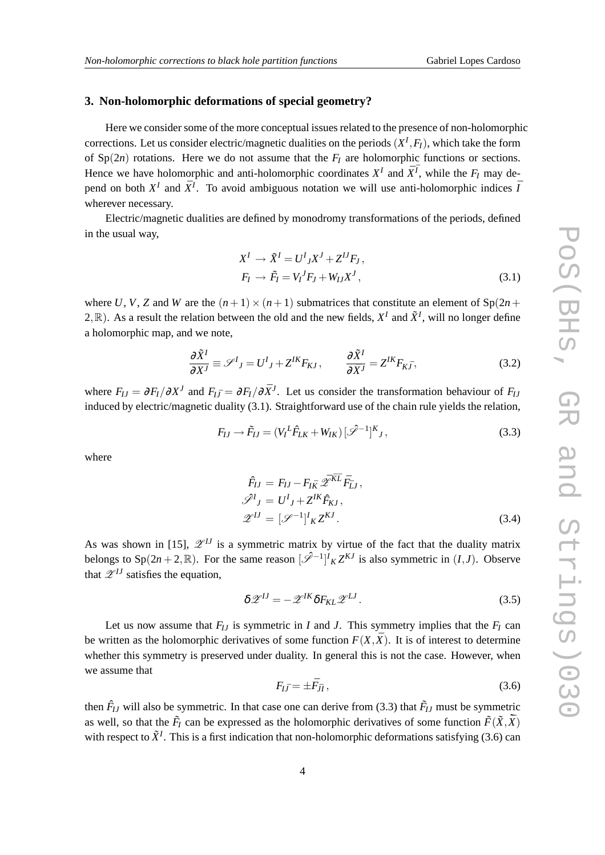#### **3. Non-holomorphic deformations of special geometry?**

Here we consider some of the more conceptual issues related to the presence of non-holomorphic corrections. Let us consider electric/magnetic dualities on the periods  $(X^I, F_I)$ , which take the form of  $Sp(2n)$  rotations. Here we do not assume that the  $F_I$  are holomorphic functions or sections. Hence we have holomorphic and anti-holomorphic coordinates  $X^I$  and  $\bar{X}^{\bar{I}}$ , while the  $F_I$  may depend on both  $X^I$  and  $\bar{X}^I$ . To avoid ambiguous notation we will use anti-holomorphic indices  $\bar{I}$ wherever necessary.

Electric/magnetic dualities are defined by monodromy transformations of the periods, defined in the usual way,

$$
XI \rightarrow \tilde{X}I = UI_{J}XJ + ZIJF_{J},
$$
  
\n
$$
F_{I} \rightarrow \tilde{F}_{I} = V_{I}{}^{J}F_{J} + W_{IJ}X^{J},
$$
\n(3.1)

where U, V, Z and W are the  $(n+1) \times (n+1)$  submatrices that constitute an element of  $\text{Sp}(2n+1)$ 2,  $\mathbb{R}$ ). As a result the relation between the old and the new fields,  $X^I$  and  $\tilde{X}^I$ , will no longer define a holomorphic map, and we note,

$$
\frac{\partial \tilde{X}^I}{\partial X^J} \equiv \mathscr{S}^I{}_J = U^I{}_J + Z^{IK} F_{KJ} , \qquad \frac{\partial \tilde{X}^I}{\partial \bar{X}^J} = Z^{IK} F_{K\bar{J}} , \qquad (3.2)
$$

where  $F_{IJ} = \partial F_I / \partial X^J$  and  $F_{I\bar{J}} = \partial F_I / \partial \bar{X}^J$ . Let us consider the transformation behaviour of  $F_{IJ}$ induced by electric/magnetic duality (3.1). Straightforward use of the chain rule yields the relation,

$$
F_{IJ} \to \tilde{F}_{IJ} = (V_I^L \hat{F}_{LK} + W_{IK}) [\mathscr{S}^{-1}]^K{}_J, \tag{3.3}
$$

where

$$
\hat{F}_{IJ} = F_{IJ} - F_{I\bar{K}} \mathscr{Z}^{\bar{K}\bar{L}} \bar{F}_{\bar{L}J},
$$
\n
$$
\mathscr{Z}^I{}_J = U^I{}_J + Z^{IK} \hat{F}_{KJ},
$$
\n
$$
\mathscr{Z}^{IJ} = [\mathscr{S}^{-1}]^I{}_K Z^{KJ}.
$$
\n(3.4)

As was shown in [15],  $\mathscr{L}^{IJ}$  is a symmetric matrix by virtue of the fact that the duality matrix belongs to  $Sp(2n+2,\mathbb{R})$ . For the same reason  $\left[\mathscr{S}^{-1}\right]^l K Z^{KJ}$  is also symmetric in  $(I,J)$ . Observe that  $\mathscr{Z}^{IJ}$  satisfies the equation.

$$
\delta \mathscr{Z}^{IJ} = -\mathscr{Z}^{IK} \delta F_{KL} \mathscr{Z}^{LI} \,. \tag{3.5}
$$

Let us now assume that  $F_{IJ}$  is symmetric in *I* and *J*. This symmetry implies that the  $F_I$  can be written as the holomorphic derivatives of some function  $F(X,\overline{X})$ . It is of interest to determine whether this symmetry is preserved under duality. In general this is not the case. However, when we assume that

$$
F_{I\bar{J}} = \pm \bar{F}_{\bar{J}I},\tag{3.6}
$$

then  $\hat{F}_{IJ}$  will also be symmetric. In that case one can derive from (3.3) that  $\tilde{F}_{IJ}$  must be symmetric as well, so that the  $\tilde{F}_I$  can be expressed as the holomorphic derivatives of some function  $\tilde{F}(\tilde{X}, \tilde{\tilde{X}})$ with respect to  $\tilde{X}^I$ . This is a first indication that non-holomorphic deformations satisfying (3.6) can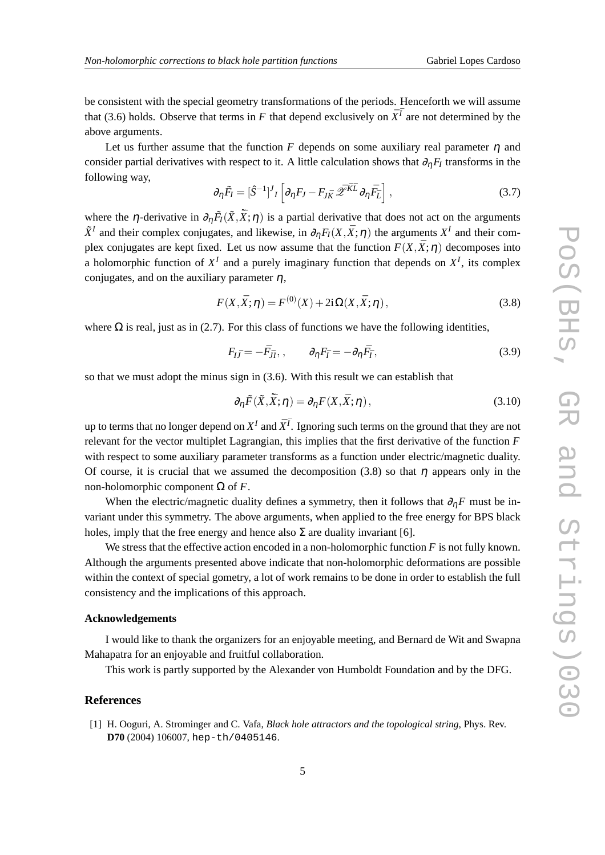be consistent with the special geometry transformations of the periods. Henceforth we will assume that (3.6) holds. Observe that terms in *F* that depend exclusively on  $\bar{X}^{\bar{I}}$  are not determined by the above arguments.

Let us further assume that the function *F* depends on some auxiliary real parameter  $\eta$  and consider partial derivatives with respect to it. A little calculation shows that  $\partial_{\eta}F_I$  transforms in the following way,

$$
\partial_{\eta} \tilde{F}_I = [\hat{S}^{-1}]^J{}_I \left[ \partial_{\eta} F_J - F_{J\bar{K}} \tilde{\mathscr{Z}}^{\bar{K}\bar{L}} \partial_{\eta} \bar{F}_{\bar{L}} \right], \tag{3.7}
$$

where the  $\eta$ -derivative in  $\partial_{\eta} \tilde{F}_I(\tilde{X}, \tilde{X}; \eta)$  is a partial derivative that does not act on the arguments  $\tilde{X}^I$  and their complex conjugates, and likewise, in  $\partial_{\eta}F_I(X,\bar{X};\eta)$  the arguments  $X^I$  and their complex conjugates are kept fixed. Let us now assume that the function  $F(X,\bar{X};\eta)$  decomposes into a holomorphic function of  $X<sup>I</sup>$  and a purely imaginary function that depends on  $X<sup>I</sup>$ , its complex conjugates, and on the auxiliary parameter  $\eta$ ,

$$
F(X, \bar{X}; \eta) = F^{(0)}(X) + 2i\Omega(X, \bar{X}; \eta), \qquad (3.8)
$$

where  $\Omega$  is real, just as in (2.7). For this class of functions we have the following identities,

$$
F_{I\bar{J}} = -\bar{F}_{\bar{J}I}, \qquad \partial_{\eta} F_{\bar{I}} = -\partial_{\eta} \bar{F}_{\bar{I}}, \qquad (3.9)
$$

so that we must adopt the minus sign in (3.6). With this result we can establish that

$$
\partial_{\eta}\tilde{F}(\tilde{X}, \tilde{\bar{X}}; \eta) = \partial_{\eta}F(X, \bar{X}; \eta), \qquad (3.10)
$$

up to terms that no longer depend on  $X^I$  and  $\bar{X}^{\bar{I}}$ . Ignoring such terms on the ground that they are not relevant for the vector multiplet Lagrangian, this implies that the first derivative of the function *F* with respect to some auxiliary parameter transforms as a function under electric/magnetic duality. Of course, it is crucial that we assumed the decomposition (3.8) so that  $\eta$  appears only in the non-holomorphic component Ω of *F*.

When the electric/magnetic duality defines a symmetry, then it follows that  $\partial_{\eta}F$  must be invariant under this symmetry. The above arguments, when applied to the free energy for BPS black holes, imply that the free energy and hence also  $\Sigma$  are duality invariant [6].

We stress that the effective action encoded in a non-holomorphic function *F* is not fully known. Although the arguments presented above indicate that non-holomorphic deformations are possible within the context of special gometry, a lot of work remains to be done in order to establish the full consistency and the implications of this approach.

#### **Acknowledgements**

I would like to thank the organizers for an enjoyable meeting, and Bernard de Wit and Swapna Mahapatra for an enjoyable and fruitful collaboration.

This work is partly supported by the Alexander von Humboldt Foundation and by the DFG.

#### **References**

[1] H. Ooguri, A. Strominger and C. Vafa, *Black hole attractors and the topological string*, Phys. Rev. **D70** (2004) 106007, hep-th/0405146.